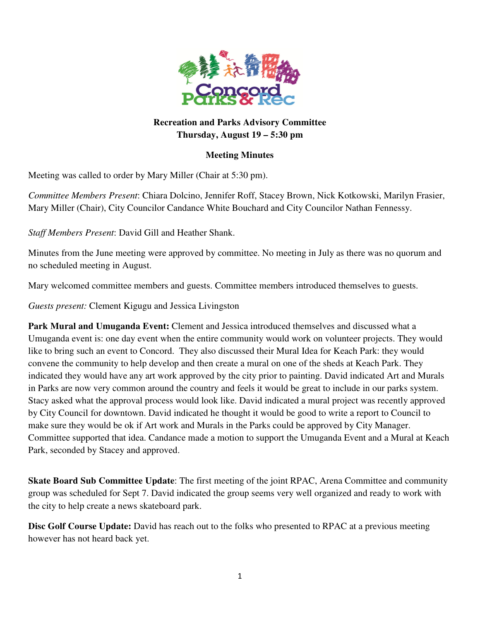

# **Recreation and Parks Advisory Committee Thursday, August 19 – 5:30 pm**

### **Meeting Minutes**

Meeting was called to order by Mary Miller (Chair at 5:30 pm).

*Committee Members Present*: Chiara Dolcino, Jennifer Roff, Stacey Brown, Nick Kotkowski, Marilyn Frasier, Mary Miller (Chair), City Councilor Candance White Bouchard and City Councilor Nathan Fennessy.

*Staff Members Present*: David Gill and Heather Shank.

Minutes from the June meeting were approved by committee. No meeting in July as there was no quorum and no scheduled meeting in August.

Mary welcomed committee members and guests. Committee members introduced themselves to guests.

*Guests present:* Clement Kigugu and Jessica Livingston

**Park Mural and Umuganda Event:** Clement and Jessica introduced themselves and discussed what a Umuganda event is: one day event when the entire community would work on volunteer projects. They would like to bring such an event to Concord. They also discussed their Mural Idea for Keach Park: they would convene the community to help develop and then create a mural on one of the sheds at Keach Park. They indicated they would have any art work approved by the city prior to painting. David indicated Art and Murals in Parks are now very common around the country and feels it would be great to include in our parks system. Stacy asked what the approval process would look like. David indicated a mural project was recently approved by City Council for downtown. David indicated he thought it would be good to write a report to Council to make sure they would be ok if Art work and Murals in the Parks could be approved by City Manager. Committee supported that idea. Candance made a motion to support the Umuganda Event and a Mural at Keach Park, seconded by Stacey and approved.

**Skate Board Sub Committee Update**: The first meeting of the joint RPAC, Arena Committee and community group was scheduled for Sept 7. David indicated the group seems very well organized and ready to work with the city to help create a news skateboard park.

**Disc Golf Course Update:** David has reach out to the folks who presented to RPAC at a previous meeting however has not heard back yet.